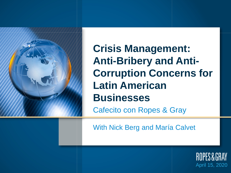

**Crisis Management: Anti-Bribery and Anti-Corruption Concerns for Latin American Businesses**

Cafecito con Ropes & Gray

With Nick Berg and María Calvet

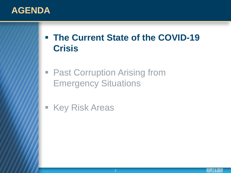# **AGENDA**

- **The Current State of the COVID-19 Crisis**
- Past Corruption Arising from Emergency Situations
- **Key Risk Areas**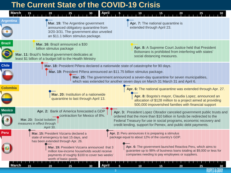## **The Current State of the COVID-19 Crisis**

|                  | March                                                                                                                                                                                                                                                                                            |                                                                                                                                                                                                                                                                                                    |
|------------------|--------------------------------------------------------------------------------------------------------------------------------------------------------------------------------------------------------------------------------------------------------------------------------------------------|----------------------------------------------------------------------------------------------------------------------------------------------------------------------------------------------------------------------------------------------------------------------------------------------------|
| <b>Argentina</b> | Mar. 19: The Argentine government<br>announced obligatory quarantine from<br>3/20-3/31. The government also unveiled<br>an \$11.1 billion stimulus package.                                                                                                                                      | Apr. 7: The national quarantine is<br>extended through April 23.                                                                                                                                                                                                                                   |
| <b>Brazil</b>    | Mar. 16: Brazil announced a \$30<br>billion stimulus package<br>Mar. 11: Brazil's federal government dedicates at<br>least \$1 billion of a budget bill to the Health Ministry                                                                                                                   | Apr. 8: A Supreme Court Justice held that President<br>Bolsonaro is prohibited from interfering with states'<br>social distancing measures.                                                                                                                                                        |
| <b>Chile</b>     | Mar. 18: President Piñera declared a nationwide state of catastrophe for 90 days.<br>Mar. 19: President Piñera announced an \$11.75 billion stimulus package.                                                                                                                                    | Mar. 25: The government announced a seven-day quarantine for seven municipalities,<br>which was extended for another seven days on March 31 March 31 and April 6.                                                                                                                                  |
| <b>Colombia</b>  | Mar. 20: Institution of a nationwide<br>quarantine to last through April 13.                                                                                                                                                                                                                     | Apr. 6: The national quarantine was extended through Apr. 27.<br>Apr. 8: Bogota's mayor, Claudia Lopez, announced an<br>allocation of \$128 million to a project aimed at providing<br>500,000 impoverished families with financial support                                                        |
| <b>Mexico</b>    | Apr. 2: Bank of America forecasted a GDP<br>contraction for Mexico of 8%.<br>Mar. 23: Social isolation<br>measures in effect through<br>April 30.                                                                                                                                                | Apr. 3: President Lopez Obrador canceled government public trusts and<br>ordered that the more than \$10 billion in funds be redirected to the<br>Federal Treasury for use in social programs, economic recovery and<br>credit lending, support for Pemex, and public debt payments.               |
| <b>Peru</b>      | Mar. 15: President Vizcarra declared a<br>state of emergency to last 15 days, and<br>has been extended through Apr. 26.<br>Mar. 19: President Vizcarra announced that 3<br>million low-income households would receive<br>payments of roughly \$100 to cover two weeks'<br>worth of basic goods. | Apr. 2: Peru announces it is preparing a stimulus<br>package equal to about 12% of the country's GDP.<br>Apr. 6: The government launched Reactiva Peru, which aims to<br>guarantee up to 98% of business loans totaling at \$9,000 or less for<br>companies needing to pay employees or suppliers. |
|                  | <b>April</b><br>20<br>30<br>25<br>15                                                                                                                                                                                                                                                             | 10<br>15<br>20<br>25<br>3                                                                                                                                                                                                                                                                          |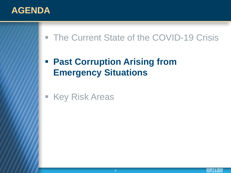

■ The Current State of the COVID-19 Crisis

# **Past Corruption Arising from Emergency Situations**

**Key Risk Areas**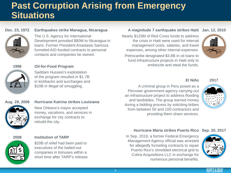# **Past Corruption Arising from Emergency Situations**

### **Dec. 23, 1972**





The U.S. Agency for International Development provided \$80M to Nicaragua in loans. Former President Anastasio Samoza funneled AID-funded contracts to personal contacts and companies he owned.

**1996**



### **Oil-for-Food Program**

Saddam Hussein's exploitation of the program resulted in \$1.7B in kickbacks and surcharges and \$10B in illegal oil smuggling.

## **Aug. 29, 2006**



### **Hurricane Katrina strikes Louisiana**

New Orleans's mayor accepted money, vacations, and services in exchange for city contracts to rebuild the city.



## **2008**



#### **Institution of TARP**

\$20B of relief had been paid to executives of the bailed-out companies in bonuses within a short time after TARP's release.

## **A magnitude 7 earthquake strikes Haiti Jan. 12, 2010**

Nearly \$125M of Red Cross funds to address the crisis in Haiti were used for internal management costs, salaries, and travel expenses, among other internal expenses.

Petrocaribe designated \$3.8B in oil loans to fund infrastructure projects in Haiti only to embezzle and steal the funds.



### **El Niño**

A criminal group in Peru posed as a Peruvian government agency carrying out an infrastructure project to address flooding and landslides. The group earned money during a bidding process by soliciting bribes from between 50 and 100 contractors and providing them sham services.



**2017**

## **Hurricane Maria strikes Puerto Rico Sep. 20, 2017**

In Sep. 2019, a former Federal Emergency Management Agency official was arrested for allegedly funneling contracts to repair Puerto Rico's shredded electrical grid to Cobra Acquisitions LLC in exchange for numerous personal benefits.





**ROPES&GRA**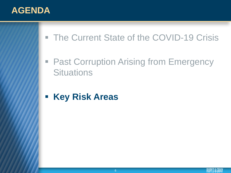# **AGENDA**

- The Current State of the COVID-19 Crisis
- **Past Corruption Arising from Emergency Situations**
- **Key Risk Areas**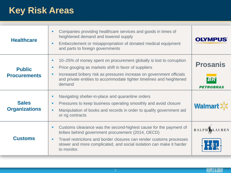# **Key Risk Areas**

| <b>Healthcare</b>                    | Companies providing healthcare services and goods in times of<br>٠<br>heightened demand and lowered supply<br>Embezzlement or misappropriation of donated medical equipment<br>٠<br>and parts to foreign governments                                                                                 | <b>OLYMPUS</b>                            |
|--------------------------------------|------------------------------------------------------------------------------------------------------------------------------------------------------------------------------------------------------------------------------------------------------------------------------------------------------|-------------------------------------------|
| <b>Public</b><br><b>Procurements</b> | 10–25% of money spent on procurement globally is lost to corruption<br>٠<br>Price gouging as markets shift in favor of suppliers<br>٠<br>Increased bribery risk as pressures increase on government officials<br>٠<br>and private entities to accommodate tighter timelines and heightened<br>demand | <b>Prosanis</b><br>BR<br><b>PETROBRAS</b> |
| <b>Sales</b><br><b>Organizations</b> | Navigating shelter-in-place and quarantine orders<br>٠<br>Pressures to keep business operating smoothly and avoid closure<br>٠<br>Manipulation of books and records in order to qualify government aid<br>٠<br>or rig contracts                                                                      | Walma                                     |
| <b>Customs</b>                       | Customs clearance was the second-highest cause for the payment of<br>٠<br>bribes behind government procurement (2014, OECD)<br>Travel restrictions and border closures can render customs processes<br>٠<br>slower and more complicated, and social isolation can make it harder<br>to monitor.      | <b>RALPH S</b> LAUREN                     |